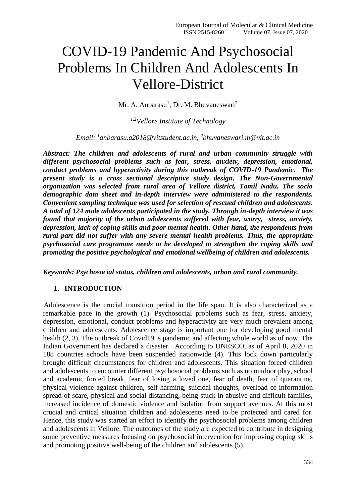# COVID-19 Pandemic And Psychosocial Problems In Children And Adolescents In Vellore-District

Mr. A. Anbarasu<sup>1</sup>, Dr. M. Bhuvaneswari<sup>2</sup>

*1,2Vellore Institute of Technology*

*Email: <sup>1</sup> [anbarasu.a2018@vitstudent.ac.in,](mailto:anbarasu.a2018@vitstudent.ac.in) 2 [bhuvaneswari.m@vit.ac.in](mailto:bhuvaneswari.m@vit.ac.in)*

*Abstract: The children and adolescents of rural and urban community struggle with different psychosocial problems such as fear, stress, anxiety, depression, emotional, conduct problems and hyperactivity during this outbreak of COVID-19 Pandemic. The present study is a cross sectional descriptive study design. The Non-Governmental organization was selected from rural area of Vellore district, Tamil Nadu. The socio demographic data sheet and in-depth interview were administered to the respondents. Convenient sampling technique was used for selection of rescued children and adolescents. A total of 124 male adolescents participated in the study. Through in-depth interview it was found that majority of the urban adolescents suffered with fear, worry, stress, anxiety, depression, lack of coping skills and poor mental health. Other hand, the respondents from rural part did not suffer with any severe mental health problems. Thus, the appropriate psychosocial care programme needs to be developed to strengthen the coping skills and promoting the positive psychological and emotional wellbeing of children and adolescents.*

*Keywords: Psychosocial status, children and adolescents, urban and rural community.*

#### **1. INTRODUCTION**

Adolescence is the crucial transition period in the life span. It is also characterized as a remarkable pace in the growth (1). Psychosocial problems such as fear, stress, anxiety, depression, emotional, conduct problems and hyperactivity are very much prevalent among children and adolescents. Adolescence stage is important one for developing good mental health (2, 3). The outbreak of Covid19 is pandemic and affecting whole world as of now. The Indian Government has declared a disaster. According to UNESCO, as of April 8, 2020 in 188 countries schools have been suspended nationwide (4). This lock down particularly brought difficult circumstances for children and adolescents. This situation forced children and adolescents to encounter different psychosocial problems such as no outdoor play, school and academic forced break, fear of losing a loved one, fear of death, fear of quarantine, physical violence against children, self-harming, suicidal thoughts, overload of information spread of scare, physical and social distancing, being stuck in abusive and difficult families, increased incidence of domestic violence and isolation from support avenues. At this most crucial and critical situation children and adolescents need to be protected and cared for. Hence, this study was started an effort to identify the psychosocial problems among children and adolescents in Vellore. The outcomes of the study are expected to contribute in designing some preventive measures focusing on psychosocial intervention for improving coping skills and promoting positive well-being of the children and adolescents (5).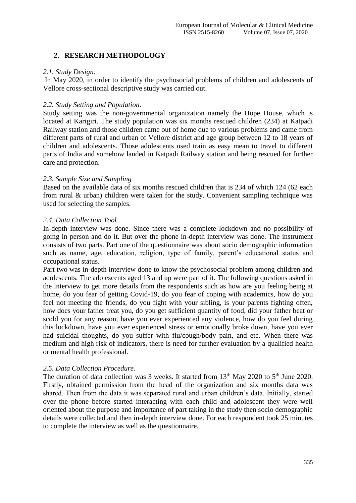## **2. RESEARCH METHODOLOGY**

#### *2.1. Study Design:*

In May 2020, in order to identify the psychosocial problems of children and adolescents of Vellore cross-sectional descriptive study was carried out.

#### *2.2. Study Setting and Population.*

Study setting was the non-governmental organization namely the Hope House, which is located at Karigiri. The study population was six months rescued children (234) at Katpadi Railway station and those children came out of home due to various problems and came from different parts of rural and urban of Vellore district and age group between 12 to 18 years of children and adolescents. Those adolescents used train as easy mean to travel to different parts of India and somehow landed in Katpadi Railway station and being rescued for further care and protection.

#### *2.3. Sample Size and Sampling*

Based on the available data of six months rescued children that is 234 of which 124 (62 each from rural & urban) children were taken for the study. Convenient sampling technique was used for selecting the samples.

#### *2.4. Data Collection Tool.*

In-depth interview was done. Since there was a complete lockdown and no possibility of going in person and do it. But over the phone in-depth interview was done. The instrument consists of two parts. Part one of the questionnaire was about socio demographic information such as name, age, education, religion, type of family, parent's educational status and occupational status.

Part two was in-depth interview done to know the psychosocial problem among children and adolescents. The adolescents aged 13 and up were part of it. The following questions asked in the interview to get more details from the respondents such as how are you feeling being at home, do you fear of getting Covid-19, do you fear of coping with academics, how do you feel not meeting the friends, do you fight with your sibling, is your parents fighting often, how does your father treat you, do you get sufficient quantity of food, did your father beat or scold you for any reason, have you ever experienced any violence, how do you feel during this lockdown, have you ever experienced stress or emotionally broke down, have you ever had suicidal thoughts, do you suffer with flu/cough/body pain, and etc. When there was medium and high risk of indicators, there is need for further evaluation by a qualified health or mental health professional.

## *2.5. Data Collection Procedure.*

The duration of data collection was 3 weeks. It started from  $13<sup>th</sup>$  May 2020 to  $5<sup>th</sup>$  June 2020. Firstly, obtained permission from the head of the organization and six months data was shared. Then from the data it was separated rural and urban children's data. Initially, started over the phone before started interacting with each child and adolescent they were well oriented about the purpose and importance of part taking in the study then socio demographic details were collected and then in-depth interview done. For each respondent took 25 minutes to complete the interview as well as the questionnaire.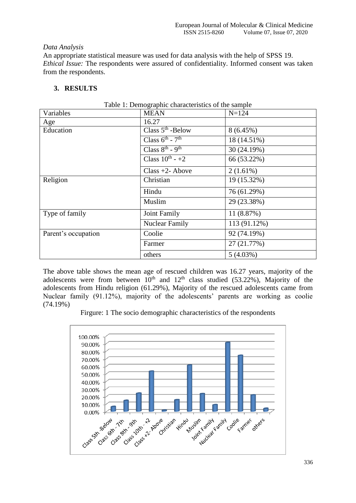#### *Data Analysis*

An appropriate statistical measure was used for data analysis with the help of SPSS 19. *Ethical Issue:* The respondents were assured of confidentiality. Informed consent was taken from the respondents.

# **3. RESULTS**

| Variables           | <b>MEAN</b>                             | $N = 124$    |
|---------------------|-----------------------------------------|--------------|
| Age                 | 16.27                                   |              |
| Education           | Class $5th$ -Below                      | 8(6.45%)     |
|                     | Class $6^{\text{th}}$ - $7^{\text{th}}$ | 18 (14.51%)  |
|                     | Class $8^{th}$ - 9 <sup>th</sup>        | 30 (24.19%)  |
|                     | Class $10^{th}$ - +2                    | 66 (53.22%)  |
|                     | Class $+2$ - Above                      | $2(1.61\%)$  |
| Religion            | Christian                               | 19 (15.32%)  |
|                     | Hindu                                   | 76 (61.29%)  |
|                     | Muslim                                  | 29 (23.38%)  |
| Type of family      | Joint Family                            | 11 (8.87%)   |
|                     | <b>Nuclear Family</b>                   | 113 (91.12%) |
| Parent's occupation | Coolie                                  | 92 (74.19%)  |
|                     | Farmer                                  | 27 (21.77%)  |
|                     | others                                  | 5(4.03%)     |

Table 1: Demographic characteristics of the sample

The above table shows the mean age of rescued children was 16.27 years, majority of the adolescents were from between  $10^{th}$  and  $12^{th}$  class studied (53.22%), Majority of the adolescents from Hindu religion (61.29%), Majority of the rescued adolescents came from Nuclear family (91.12%), majority of the adolescents' parents are working as coolie (74.19%)

Firgure: 1 The socio demographic characteristics of the respondents

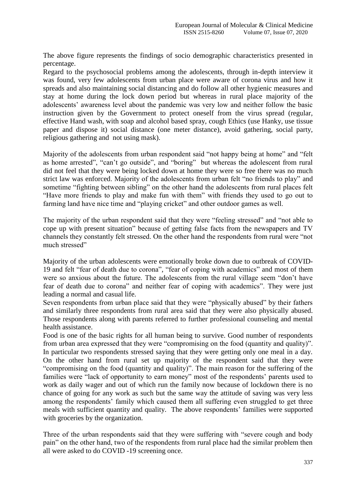The above figure represents the findings of socio demographic characteristics presented in percentage.

Regard to the psychosocial problems among the adolescents, through in-depth interview it was found, very few adolescents from urban place were aware of corona virus and how it spreads and also maintaining social distancing and do follow all other hygienic measures and stay at home during the lock down period but whereas in rural place majority of the adolescents' awareness level about the pandemic was very low and neither follow the basic instruction given by the Government to protect oneself from the virus spread (regular, effective Hand wash, with soap and alcohol based spray, cough Ethics (use Hanky, use tissue paper and dispose it) social distance (one meter distance), avoid gathering, social party, religious gathering and not using mask).

Majority of the adolescents from urban respondent said "not happy being at home" and "felt as home arrested", "can't go outside", and "boring" but whereas the adolescent from rural did not feel that they were being locked down at home they were so free there was no much strict law was enforced. Majority of the adolescents from urban felt "no friends to play" and sometime "fighting between sibling" on the other hand the adolescents from rural places felt "Have more friends to play and make fun with them" with friends they used to go out to farming land have nice time and "playing cricket" and other outdoor games as well.

The majority of the urban respondent said that they were "feeling stressed" and "not able to cope up with present situation" because of getting false facts from the newspapers and TV channels they constantly felt stressed. On the other hand the respondents from rural were "not much stressed"

Majority of the urban adolescents were emotionally broke down due to outbreak of COVID-19 and felt "fear of death due to corona", "fear of coping with academics" and most of them were so anxious about the future. The adolescents from the rural village seem "don't have fear of death due to corona" and neither fear of coping with academics". They were just leading a normal and casual life.

Seven respondents from urban place said that they were "physically abused" by their fathers and similarly three respondents from rural area said that they were also physically abused. Those respondents along with parents referred to further professional counseling and mental health assistance.

Food is one of the basic rights for all human being to survive. Good number of respondents from urban area expressed that they were "compromising on the food (quantity and quality)". In particular two respondents stressed saying that they were getting only one meal in a day. On the other hand from rural set up majority of the respondent said that they were "compromising on the food (quantity and quality)". The main reason for the suffering of the families were "lack of opportunity to earn money" most of the respondents' parents used to work as daily wager and out of which run the family now because of lockdown there is no chance of going for any work as such but the same way the attitude of saving was very less among the respondents' family which caused them all suffering even struggled to get three meals with sufficient quantity and quality. The above respondents' families were supported with groceries by the organization.

Three of the urban respondents said that they were suffering with "severe cough and body pain" on the other hand, two of the respondents from rural place had the similar problem then all were asked to do COVID -19 screening once.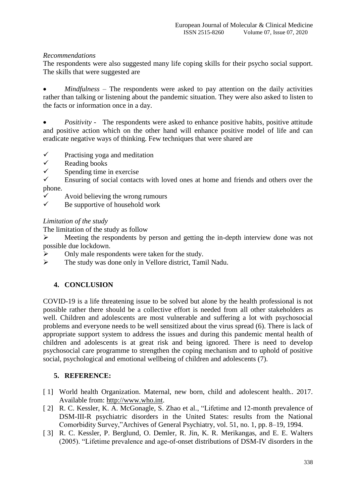# *Recommendations*

The respondents were also suggested many life coping skills for their psycho social support. The skills that were suggested are

 *Mindfulness –* The respondents were asked to pay attention on the daily activities rather than talking or listening about the pandemic situation. They were also asked to listen to the facts or information once in a day.

• *Positivity* - The respondents were asked to enhance positive habits, positive attitude and positive action which on the other hand will enhance positive model of life and can eradicate negative ways of thinking. Few techniques that were shared are

- $\checkmark$  Practising yoga and meditation
- $\checkmark$  Reading books<br> $\checkmark$  Spending time
- Spending time in exercise
- $\checkmark$  Ensuring of social contacts with loved ones at home and friends and others over the phone.
- $\checkmark$  Avoid believing the wrong rumours<br> $\checkmark$  Be supportive of bousehold work
- Be supportive of household work

*Limitation of the study*

The limitation of the study as follow

 Meeting the respondents by person and getting the in-depth interview done was not possible due lockdown.

- $\triangleright$  Only male respondents were taken for the study.
- The study was done only in Vellore district, Tamil Nadu.

## **4. CONCLUSION**

COVID-19 is a life threatening issue to be solved but alone by the health professional is not possible rather there should be a collective effort is needed from all other stakeholders as well. Children and adolescents are most vulnerable and suffering a lot with psychosocial problems and everyone needs to be well sensitized about the virus spread (6). There is lack of appropriate support system to address the issues and during this pandemic mental health of children and adolescents is at great risk and being ignored. There is need to develop psychosocial care programme to strengthen the coping mechanism and to uphold of positive social, psychological and emotional wellbeing of children and adolescents (7).

## **5. REFERENCE:**

- [1] World health Organization. Maternal, new born, child and adolescent health.. 2017. Available from: [http://www.who.int.](http://www.who.int/)
- [ 2] R. C. Kessler, K. A. McGonagle, S. Zhao et al., "Lifetime and 12-month prevalence of DSM-III-R psychiatric disorders in the United States: results from the National Comorbidity Survey,"Archives of General Psychiatry, vol. 51, no. 1, pp. 8–19, 1994.
- [ 3] R. C. Kessler, P. Berglund, O. Demler, R. Jin, K. R. Merikangas, and E. E. Walters (2005). "Lifetime prevalence and age-of-onset distributions of DSM-IV disorders in the